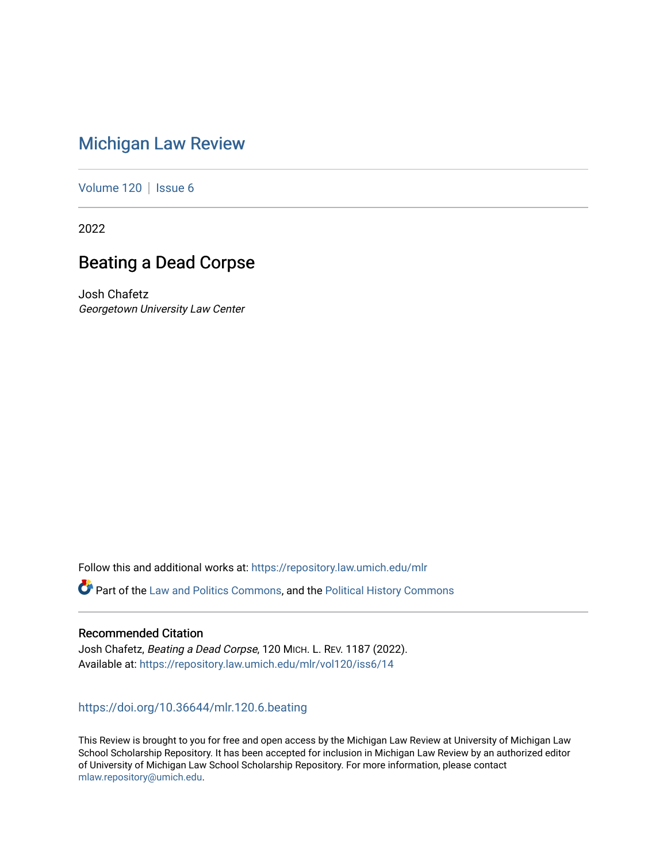# [Michigan Law Review](https://repository.law.umich.edu/mlr)

[Volume 120](https://repository.law.umich.edu/mlr/vol120) | [Issue 6](https://repository.law.umich.edu/mlr/vol120/iss6)

2022

# Beating a Dead Corpse

Josh Chafetz Georgetown University Law Center

Follow this and additional works at: [https://repository.law.umich.edu/mlr](https://repository.law.umich.edu/mlr?utm_source=repository.law.umich.edu%2Fmlr%2Fvol120%2Fiss6%2F14&utm_medium=PDF&utm_campaign=PDFCoverPages) 

Part of the [Law and Politics Commons,](http://network.bepress.com/hgg/discipline/867?utm_source=repository.law.umich.edu%2Fmlr%2Fvol120%2Fiss6%2F14&utm_medium=PDF&utm_campaign=PDFCoverPages) and the [Political History Commons](http://network.bepress.com/hgg/discipline/505?utm_source=repository.law.umich.edu%2Fmlr%2Fvol120%2Fiss6%2F14&utm_medium=PDF&utm_campaign=PDFCoverPages)

## Recommended Citation

Josh Chafetz, Beating a Dead Corpse, 120 MICH. L. REV. 1187 (2022). Available at: [https://repository.law.umich.edu/mlr/vol120/iss6/14](https://repository.law.umich.edu/mlr/vol120/iss6/14?utm_source=repository.law.umich.edu%2Fmlr%2Fvol120%2Fiss6%2F14&utm_medium=PDF&utm_campaign=PDFCoverPages) 

## <https://doi.org/10.36644/mlr.120.6.beating>

This Review is brought to you for free and open access by the Michigan Law Review at University of Michigan Law School Scholarship Repository. It has been accepted for inclusion in Michigan Law Review by an authorized editor of University of Michigan Law School Scholarship Repository. For more information, please contact [mlaw.repository@umich.edu.](mailto:mlaw.repository@umich.edu)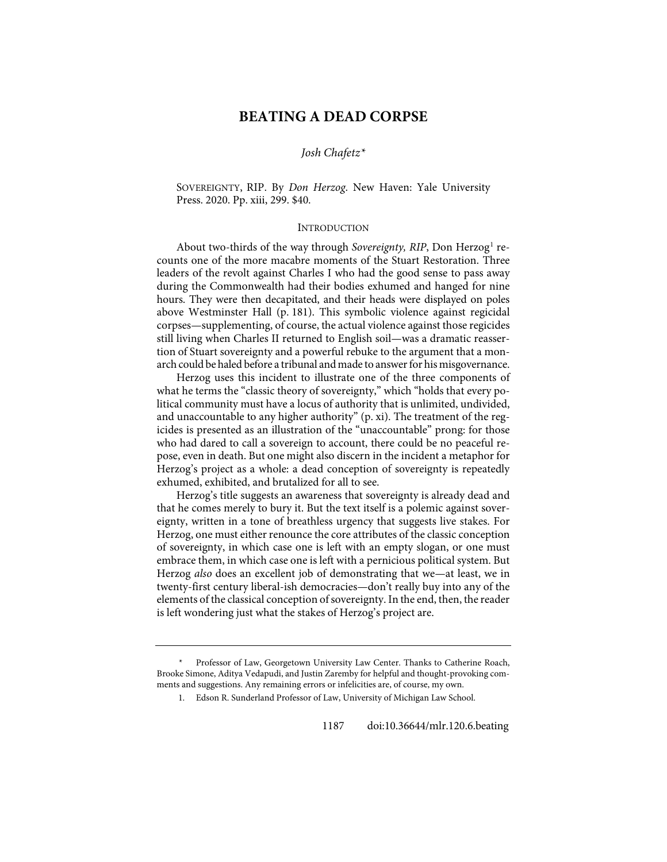## **BEATING A DEAD CORPSE**

### *Josh Chafetz[\\*](#page-1-0)*

SOVEREIGNTY, RIP. By *Don Herzog*. New Haven: Yale University Press. 2020. Pp. xiii, 299. \$40.

#### INTRODUCTION

About two-thirds of the way through *Sovereignty*, *RIP*, Don Herzog<sup>[1](#page-1-1)</sup> recounts one of the more macabre moments of the Stuart Restoration. Three leaders of the revolt against Charles I who had the good sense to pass away during the Commonwealth had their bodies exhumed and hanged for nine hours. They were then decapitated, and their heads were displayed on poles above Westminster Hall (p. 181). This symbolic violence against regicidal corpses—supplementing, of course, the actual violence against those regicides still living when Charles II returned to English soil—was a dramatic reassertion of Stuart sovereignty and a powerful rebuke to the argument that a monarch could be haled before a tribunal and made to answer for his misgovernance.

Herzog uses this incident to illustrate one of the three components of what he terms the "classic theory of sovereignty," which "holds that every political community must have a locus of authority that is unlimited, undivided, and unaccountable to any higher authority" (p. xi). The treatment of the regicides is presented as an illustration of the "unaccountable" prong: for those who had dared to call a sovereign to account, there could be no peaceful repose, even in death. But one might also discern in the incident a metaphor for Herzog's project as a whole: a dead conception of sovereignty is repeatedly exhumed, exhibited, and brutalized for all to see.

Herzog's title suggests an awareness that sovereignty is already dead and that he comes merely to bury it. But the text itself is a polemic against sovereignty, written in a tone of breathless urgency that suggests live stakes. For Herzog, one must either renounce the core attributes of the classic conception of sovereignty, in which case one is left with an empty slogan, or one must embrace them, in which case one is left with a pernicious political system. But Herzog *also* does an excellent job of demonstrating that we—at least, we in twenty-first century liberal-ish democracies—don't really buy into any of the elements of the classical conception of sovereignty. In the end, then, the reader is left wondering just what the stakes of Herzog's project are.

<span id="page-1-1"></span><span id="page-1-0"></span>Professor of Law, Georgetown University Law Center. Thanks to Catherine Roach, Brooke Simone, Aditya Vedapudi, and Justin Zaremby for helpful and thought-provoking comments and suggestions. Any remaining errors or infelicities are, of course, my own.

<sup>1.</sup> Edson R. Sunderland Professor of Law, University of Michigan Law School.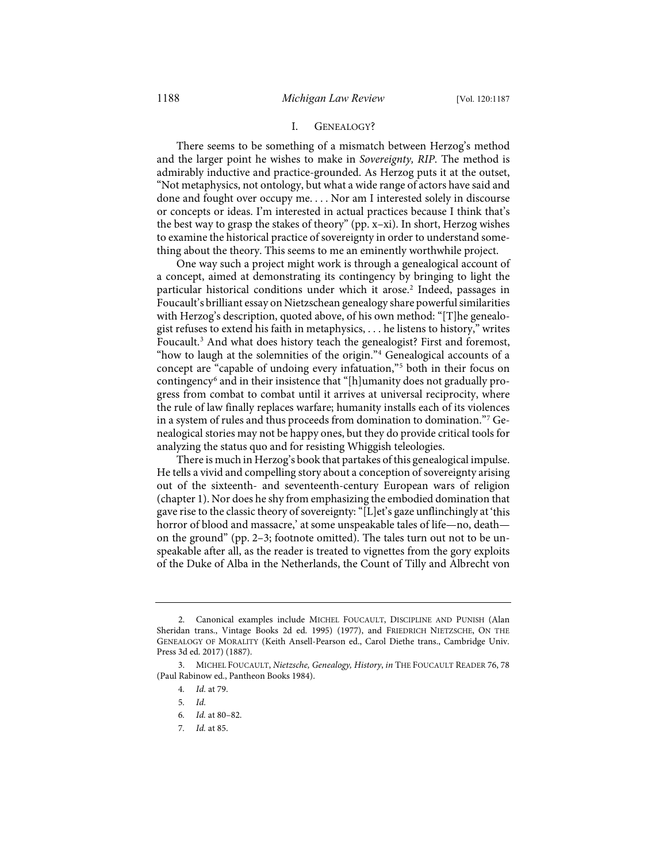#### I. GENEALOGY?

There seems to be something of a mismatch between Herzog's method and the larger point he wishes to make in *Sovereignty, RIP*. The method is admirably inductive and practice-grounded. As Herzog puts it at the outset, "Not metaphysics, not ontology, but what a wide range of actors have said and done and fought over occupy me. . . . Nor am I interested solely in discourse or concepts or ideas. I'm interested in actual practices because I think that's the best way to grasp the stakes of theory" (pp. x–xi). In short, Herzog wishes to examine the historical practice of sovereignty in order to understand something about the theory. This seems to me an eminently worthwhile project.

One way such a project might work is through a genealogical account of a concept, aimed at demonstrating its contingency by bringing to light the particular historical conditions under which it arose.<sup>[2](#page-2-0)</sup> Indeed, passages in Foucault's brilliant essay on Nietzschean genealogy share powerful similarities with Herzog's description, quoted above, of his own method: "[T]he genealogist refuses to extend his faith in metaphysics, . . . he listens to history," writes Foucault.<sup>[3](#page-2-1)</sup> And what does history teach the genealogist? First and foremost, "how to laugh at the solemnities of the origin."[4](#page-2-2) Genealogical accounts of a concept are "capable of undoing every infatuation,"[5](#page-2-3) both in their focus on contingency[6](#page-2-4) and in their insistence that "[h]umanity does not gradually progress from combat to combat until it arrives at universal reciprocity, where the rule of law finally replaces warfare; humanity installs each of its violences in a system of rules and thus proceeds from domination to domination."[7](#page-2-5) Genealogical stories may not be happy ones, but they do provide critical tools for analyzing the status quo and for resisting Whiggish teleologies.

There is much in Herzog's book that partakes of this genealogical impulse. He tells a vivid and compelling story about a conception of sovereignty arising out of the sixteenth- and seventeenth-century European wars of religion (chapter 1). Nor does he shy from emphasizing the embodied domination that gave rise to the classic theory of sovereignty: "[L]et's gaze unflinchingly at'this horror of blood and massacre,' at some unspeakable tales of life—no, death on the ground" (pp. 2–3; footnote omitted). The tales turn out not to be unspeakable after all, as the reader is treated to vignettes from the gory exploits of the Duke of Alba in the Netherlands, the Count of Tilly and Albrecht von

<span id="page-2-0"></span> <sup>2.</sup> Canonical examples include MICHEL FOUCAULT, DISCIPLINE AND PUNISH (Alan Sheridan trans., Vintage Books 2d ed. 1995) (1977), and FRIEDRICH NIETZSCHE, ON THE GENEALOGY OF MORALITY (Keith Ansell-Pearson ed., Carol Diethe trans., Cambridge Univ. Press 3d ed. 2017) (1887).

<span id="page-2-5"></span><span id="page-2-4"></span><span id="page-2-3"></span><span id="page-2-2"></span><span id="page-2-1"></span> <sup>3.</sup> MICHEL FOUCAULT, *Nietzsche, Genealogy, History*, *in* THE FOUCAULT READER 76, 78 (Paul Rabinow ed., Pantheon Books 1984).

<sup>4</sup>*. Id.* at 79.

<sup>5</sup>*. Id.*

<sup>6</sup>*. Id.* at 80–82.

<sup>7</sup>*. Id.* at 85.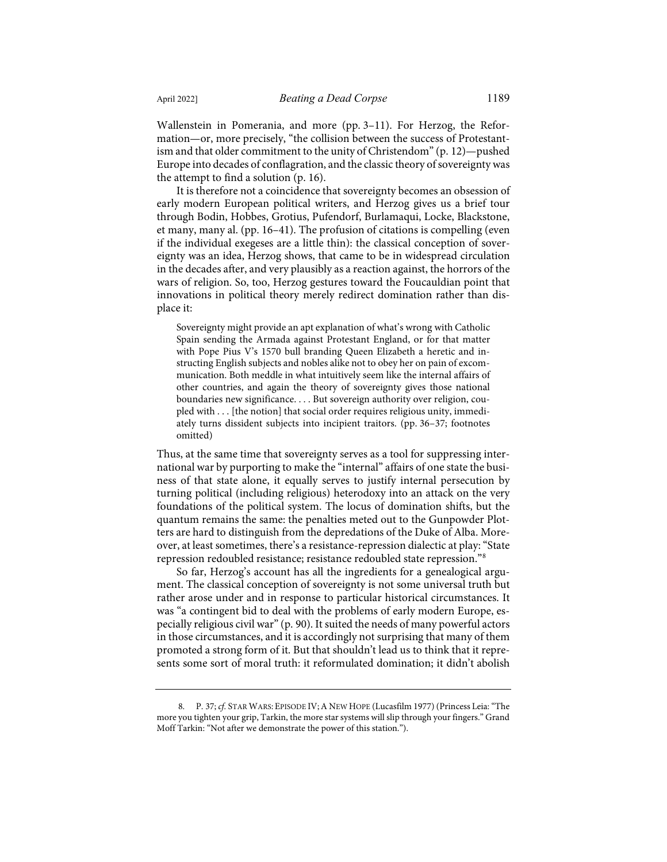Wallenstein in Pomerania, and more (pp. 3–11). For Herzog, the Reformation—or, more precisely, "the collision between the success of Protestantism and that older commitment to the unity of Christendom" (p. 12)—pushed Europe into decades of conflagration, and the classic theory of sovereignty was the attempt to find a solution (p. 16).

It is therefore not a coincidence that sovereignty becomes an obsession of early modern European political writers, and Herzog gives us a brief tour through Bodin, Hobbes, Grotius, Pufendorf, Burlamaqui, Locke, Blackstone, et many, many al. (pp. 16–41). The profusion of citations is compelling (even if the individual exegeses are a little thin): the classical conception of sovereignty was an idea, Herzog shows, that came to be in widespread circulation in the decades after, and very plausibly as a reaction against, the horrors of the wars of religion. So, too, Herzog gestures toward the Foucauldian point that innovations in political theory merely redirect domination rather than displace it:

Sovereignty might provide an apt explanation of what's wrong with Catholic Spain sending the Armada against Protestant England, or for that matter with Pope Pius V's 1570 bull branding Queen Elizabeth a heretic and instructing English subjects and nobles alike not to obey her on pain of excommunication. Both meddle in what intuitively seem like the internal affairs of other countries, and again the theory of sovereignty gives those national boundaries new significance. . . . But sovereign authority over religion, coupled with . . . [the notion] that social order requires religious unity, immediately turns dissident subjects into incipient traitors. (pp. 36–37; footnotes omitted)

Thus, at the same time that sovereignty serves as a tool for suppressing international war by purporting to make the "internal" affairs of one state the business of that state alone, it equally serves to justify internal persecution by turning political (including religious) heterodoxy into an attack on the very foundations of the political system. The locus of domination shifts, but the quantum remains the same: the penalties meted out to the Gunpowder Plotters are hard to distinguish from the depredations of the Duke of Alba. Moreover, at least sometimes, there's a resistance-repression dialectic at play: "State repression redoubled resistance; resistance redoubled state repression."[8](#page-3-0)

So far, Herzog's account has all the ingredients for a genealogical argument. The classical conception of sovereignty is not some universal truth but rather arose under and in response to particular historical circumstances. It was "a contingent bid to deal with the problems of early modern Europe, especially religious civil war" (p. 90). It suited the needs of many powerful actors in those circumstances, and it is accordingly not surprising that many of them promoted a strong form of it. But that shouldn't lead us to think that it represents some sort of moral truth: it reformulated domination; it didn't abolish

<span id="page-3-0"></span> <sup>8.</sup> P. 37; *cf.* STAR WARS: EPISODE IV;A NEW HOPE (Lucasfilm 1977) (Princess Leia: "The more you tighten your grip, Tarkin, the more star systems will slip through your fingers." Grand Moff Tarkin: "Not after we demonstrate the power of this station.").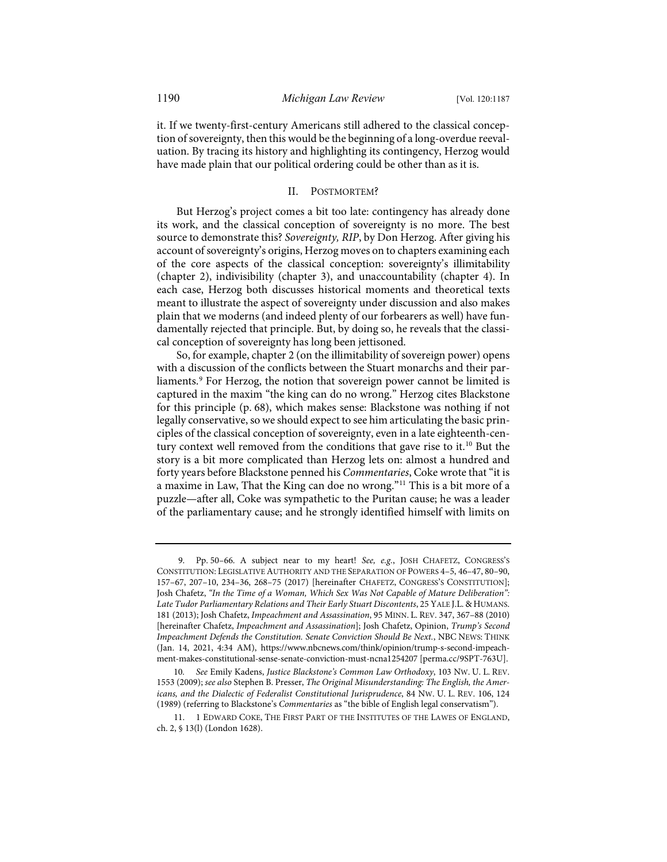it. If we twenty-first-century Americans still adhered to the classical conception of sovereignty, then this would be the beginning of a long-overdue reevaluation. By tracing its history and highlighting its contingency, Herzog would have made plain that our political ordering could be other than as it is.

### II. POSTMORTEM?

But Herzog's project comes a bit too late: contingency has already done its work, and the classical conception of sovereignty is no more. The best source to demonstrate this? *Sovereignty, RIP*, by Don Herzog. After giving his account of sovereignty's origins, Herzog moves on to chapters examining each of the core aspects of the classical conception: sovereignty's illimitability (chapter 2), indivisibility (chapter 3), and unaccountability (chapter 4). In each case, Herzog both discusses historical moments and theoretical texts meant to illustrate the aspect of sovereignty under discussion and also makes plain that we moderns (and indeed plenty of our forbearers as well) have fundamentally rejected that principle. But, by doing so, he reveals that the classical conception of sovereignty has long been jettisoned.

<span id="page-4-3"></span>So, for example, chapter 2 (on the illimitability of sovereign power) opens with a discussion of the conflicts between the Stuart monarchs and their par-liaments.<sup>[9](#page-4-0)</sup> For Herzog, the notion that sovereign power cannot be limited is captured in the maxim "the king can do no wrong." Herzog cites Blackstone for this principle (p. 68), which makes sense: Blackstone was nothing if not legally conservative, so we should expect to see him articulating the basic principles of the classical conception of sovereignty, even in a late eighteenth-century context well removed from the conditions that gave rise to it.<sup>10</sup> But the story is a bit more complicated than Herzog lets on: almost a hundred and forty years before Blackstone penned his *Commentaries*, Coke wrote that "it is a maxime in Law, That the King can doe no wrong."[11](#page-4-2) This is a bit more of a puzzle—after all, Coke was sympathetic to the Puritan cause; he was a leader of the parliamentary cause; and he strongly identified himself with limits on

<span id="page-4-0"></span> <sup>9.</sup> Pp. 50–66. A subject near to my heart! *See, e.g.*, JOSH CHAFETZ, CONGRESS'S CONSTITUTION: LEGISLATIVE AUTHORITY AND THE SEPARATION OF POWERS 4–5, 46–47, 80–90, 157–67, 207–10, 234–36, 268–75 (2017) [hereinafter CHAFETZ, CONGRESS'S CONSTITUTION]; Josh Chafetz, *"In the Time of a Woman, Which Sex Was Not Capable of Mature Deliberation": Late Tudor Parliamentary Relations and Their Early Stuart Discontents*, 25 YALE J.L. & HUMANS. 181 (2013); Josh Chafetz, *Impeachment and Assassination*, 95 MINN. L. REV. 347, 367–88 (2010) [hereinafter Chafetz, *Impeachment and Assassination*]; Josh Chafetz, Opinion, *Trump's Second Impeachment Defends the Constitution. Senate Conviction Should Be Next.*, NBC NEWS: THINK (Jan. 14, 2021, 4:34 AM), [https://www.nbcnews.com/think/opinion/trump-s-second-impeach](https://www.nbcnews.com/think/opinion/trump-s-second-impeachment-makes-constitutional-sense-senate-conviction-must-ncna1254207)[ment-makes-constitutional-sense-senate-conviction-must-ncna1254207](https://www.nbcnews.com/think/opinion/trump-s-second-impeachment-makes-constitutional-sense-senate-conviction-must-ncna1254207) [\[perma.cc/9SPT-763U\]](https://perma.cc/9SPT-763U).

<span id="page-4-1"></span><sup>10</sup>*. See* Emily Kadens, *Justice Blackstone's Common Law Orthodoxy*, 103 NW. U. L. REV. 1553 (2009); *see also* Stephen B. Presser, *The Original Misunderstanding: The English, the Americans, and the Dialectic of Federalist Constitutional Jurisprudence*, 84 NW. U. L. REV. 106, 124 (1989) (referring to Blackstone's *Commentaries* as "the bible of English legal conservatism").

<span id="page-4-2"></span><sup>11. 1</sup> EDWARD COKE, THE FIRST PART OF THE INSTITUTES OF THE LAWES OF ENGLAND, ch. 2, § 13(l) (London 1628).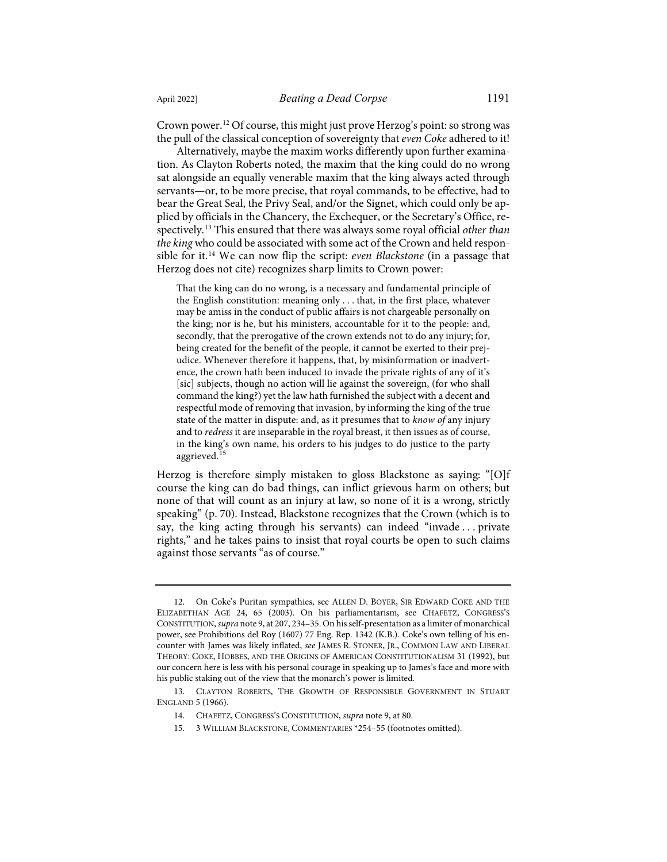Crown power[.12](#page-5-0) Of course, this might just prove Herzog's point: so strong was the pull of the classical conception of sovereignty that *even Coke* adhered to it!

Alternatively, maybe the maxim works differently upon further examination. As Clayton Roberts noted, the maxim that the king could do no wrong sat alongside an equally venerable maxim that the king always acted through servants—or, to be more precise, that royal commands, to be effective, had to bear the Great Seal, the Privy Seal, and/or the Signet, which could only be applied by officials in the Chancery, the Exchequer, or the Secretary's Office, respectively.[13](#page-5-1) This ensured that there was always some royal official *other than the king* who could be associated with some act of the Crown and held responsible for it.[14](#page-5-2) We can now flip the script: *even Blackstone* (in a passage that Herzog does not cite) recognizes sharp limits to Crown power:

That the king can do no wrong, is a necessary and fundamental principle of the English constitution: meaning only . . . that, in the first place, whatever may be amiss in the conduct of public affairs is not chargeable personally on the king; nor is he, but his ministers, accountable for it to the people: and, secondly, that the prerogative of the crown extends not to do any injury; for, being created for the benefit of the people, it cannot be exerted to their prejudice. Whenever therefore it happens, that, by misinformation or inadvertence, the crown hath been induced to invade the private rights of any of it's [sic] subjects, though no action will lie against the sovereign, (for who shall command the king?) yet the law hath furnished the subject with a decent and respectful mode of removing that invasion, by informing the king of the true state of the matter in dispute: and, as it presumes that to *know of* any injury and to *redress* it are inseparable in the royal breast, it then issues as of course, in the king's own name, his orders to his judges to do justice to the party aggrieved.<sup>[15](#page-5-3)</sup>

Herzog is therefore simply mistaken to gloss Blackstone as saying: "[O]f course the king can do bad things, can inflict grievous harm on others; but none of that will count as an injury at law, so none of it is a wrong, strictly speaking" (p. 70). Instead, Blackstone recognizes that the Crown (which is to say, the king acting through his servants) can indeed "invade . . . private rights," and he takes pains to insist that royal courts be open to such claims against those servants "as of course."

<span id="page-5-0"></span><sup>12.</sup> On Coke's Puritan sympathies, see ALLEN D. BOYER, SIR EDWARD COKE AND THE ELIZABETHAN AGE 24, 65 (2003). On his parliamentarism, see CHAFETZ, CONGRESS'S CONSTITUTION, *supra* not[e 9,](#page-4-3) at 207, 234–35. On his self-presentation as a limiter of monarchical power, see Prohibitions del Roy (1607) 77 Eng. Rep. 1342 (K.B.). Coke's own telling of his encounter with James was likely inflated, *see* JAMES R. STONER, JR., COMMON LAW AND LIBERAL THEORY: COKE, HOBBES, AND THE ORIGINS OF AMERICAN CONSTITUTIONALISM 31 (1992), but our concern here is less with his personal courage in speaking up to James's face and more with his public staking out of the view that the monarch's power is limited.

<span id="page-5-3"></span><span id="page-5-2"></span><span id="page-5-1"></span><sup>13.</sup> CLAYTON ROBERTS, THE GROWTH OF RESPONSIBLE GOVERNMENT IN STUART ENGLAND 5 (1966).

<sup>14.</sup> CHAFETZ, CONGRESS'S CONSTITUTION, *supra* not[e 9,](#page-4-3) at 80.

<sup>15. 3</sup> WILLIAM BLACKSTONE, COMMENTARIES \*254–55 (footnotes omitted).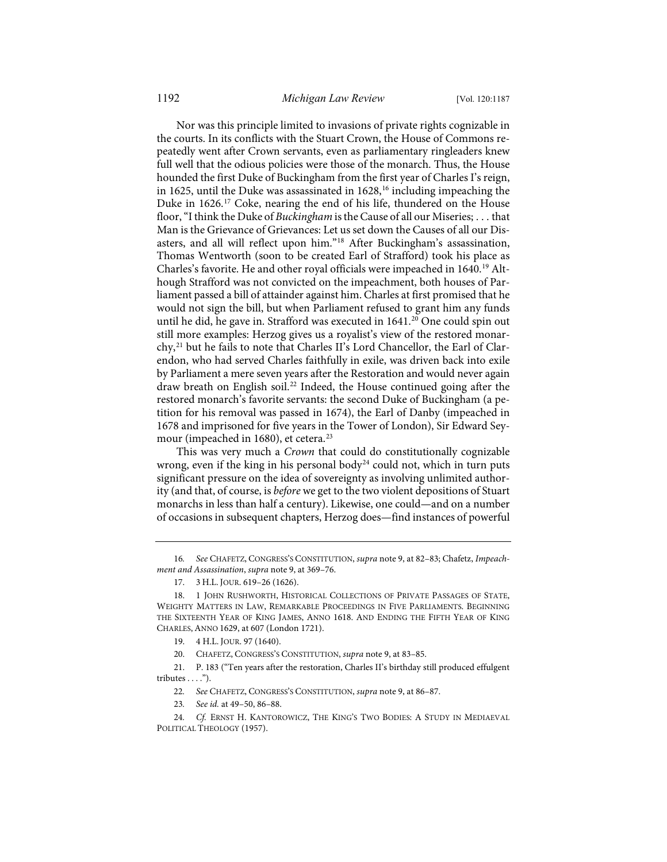Nor was this principle limited to invasions of private rights cognizable in the courts. In its conflicts with the Stuart Crown, the House of Commons repeatedly went after Crown servants, even as parliamentary ringleaders knew full well that the odious policies were those of the monarch. Thus, the House hounded the first Duke of Buckingham from the first year of Charles I's reign, in [16](#page-6-0)25, until the Duke was assassinated in  $1628$ ,<sup>16</sup> including impeaching the Duke in 1626.[17](#page-6-1) Coke, nearing the end of his life, thundered on the House floor, "I think the Duke of *Buckingham* is the Cause of all our Miseries; . . . that Man is the Grievance of Grievances: Let us set down the Causes of all our Disasters, and all will reflect upon him."[18](#page-6-2) After Buckingham's assassination, Thomas Wentworth (soon to be created Earl of Strafford) took his place as Charles's favorite. He and other royal officials were impeached in 1640.<sup>[19](#page-6-3)</sup> Although Strafford was not convicted on the impeachment, both houses of Parliament passed a bill of attainder against him. Charles at first promised that he would not sign the bill, but when Parliament refused to grant him any funds until he did, he gave in. Strafford was executed in 1641.<sup>[20](#page-6-4)</sup> One could spin out still more examples: Herzog gives us a royalist's view of the restored monar-chy,<sup>[21](#page-6-5)</sup> but he fails to note that Charles II's Lord Chancellor, the Earl of Clarendon, who had served Charles faithfully in exile, was driven back into exile by Parliament a mere seven years after the Restoration and would never again draw breath on English soil.<sup>[22](#page-6-6)</sup> Indeed, the House continued going after the restored monarch's favorite servants: the second Duke of Buckingham (a petition for his removal was passed in 1674), the Earl of Danby (impeached in 1678 and imprisoned for five years in the Tower of London), Sir Edward Sey-mour (impeached in 1680), et cetera.<sup>[23](#page-6-7)</sup>

This was very much a *Crown* that could do constitutionally cognizable wrong, even if the king in his personal body<sup>[24](#page-6-8)</sup> could not, which in turn puts significant pressure on the idea of sovereignty as involving unlimited authority (and that, of course, is *before* we get to the two violent depositions of Stuart monarchs in less than half a century). Likewise, one could—and on a number of occasions in subsequent chapters, Herzog does—find instances of powerful

<span id="page-6-0"></span>16*. See* CHAFETZ, CONGRESS'S CONSTITUTION, *supra* not[e 9,](#page-4-3) at 82–83; Chafetz, *Impeachment and Assassination*, *supra* not[e 9,](#page-4-3) at 369–76.

- 19. 4 H.L. JOUR. 97 (1640).
- 20. CHAFETZ, CONGRESS'S CONSTITUTION, *supra* not[e 9,](#page-4-3) at 83–85.

<span id="page-6-6"></span><span id="page-6-5"></span><span id="page-6-4"></span><span id="page-6-3"></span>21. P. 183 ("Ten years after the restoration, Charles II's birthday still produced effulgent tributes . . . .").

- 22*. See* CHAFETZ, CONGRESS'S CONSTITUTION, *supra* not[e 9,](#page-4-3) at 86–87.
- 23*. See id.* at 49–50, 86–88.
- <span id="page-6-8"></span><span id="page-6-7"></span>24*. Cf.* ERNST H. KANTOROWICZ, THE KING'S TWO BODIES: A STUDY IN MEDIAEVAL POLITICAL THEOLOGY (1957).

<sup>17. 3</sup> H.L. JOUR. 619–26 (1626).

<span id="page-6-2"></span><span id="page-6-1"></span><sup>18. 1</sup> JOHN RUSHWORTH, HISTORICAL COLLECTIONS OF PRIVATE PASSAGES OF STATE, WEIGHTY MATTERS IN LAW, REMARKABLE PROCEEDINGS IN FIVE PARLIAMENTS. BEGINNING THE SIXTEENTH YEAR OF KING JAMES, ANNO 1618. AND ENDING THE FIFTH YEAR OF KING CHARLES, ANNO 1629, at 607 (London 1721).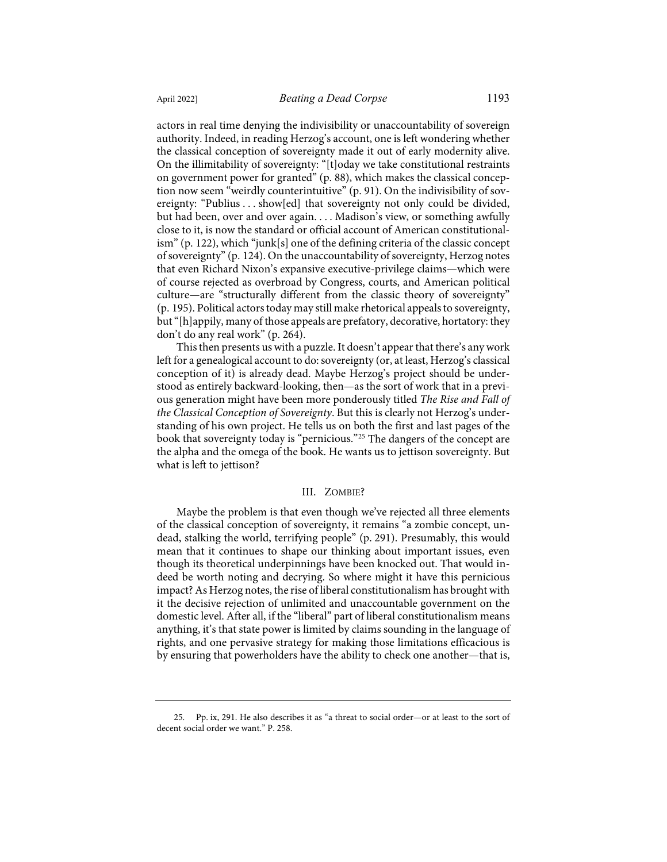actors in real time denying the indivisibility or unaccountability of sovereign authority. Indeed, in reading Herzog's account, one is left wondering whether the classical conception of sovereignty made it out of early modernity alive. On the illimitability of sovereignty: "[t]oday we take constitutional restraints on government power for granted" (p. 88), which makes the classical conception now seem "weirdly counterintuitive" (p. 91). On the indivisibility of sovereignty: "Publius . . . show[ed] that sovereignty not only could be divided, but had been, over and over again. . . . Madison's view, or something awfully close to it, is now the standard or official account of American constitutionalism" (p. 122), which "junk[s] one of the defining criteria of the classic concept of sovereignty" (p. 124). On the unaccountability of sovereignty, Herzog notes that even Richard Nixon's expansive executive-privilege claims—which were of course rejected as overbroad by Congress, courts, and American political culture—are "structurally different from the classic theory of sovereignty" (p. 195). Political actors today may still make rhetorical appeals to sovereignty, but "[h]appily, many of those appeals are prefatory, decorative, hortatory: they don't do any real work" (p. 264).

This then presents us with a puzzle. It doesn't appear that there's any work left for a genealogical account to do: sovereignty (or, at least, Herzog's classical conception of it) is already dead. Maybe Herzog's project should be understood as entirely backward-looking, then—as the sort of work that in a previous generation might have been more ponderously titled *The Rise and Fall of the Classical Conception of Sovereignty*. But this is clearly not Herzog's understanding of his own project. He tells us on both the first and last pages of the book that sovereignty today is "pernicious."[25](#page-7-0) The dangers of the concept are the alpha and the omega of the book. He wants us to jettison sovereignty. But what is left to jettison?

#### III. ZOMBIE?

Maybe the problem is that even though we've rejected all three elements of the classical conception of sovereignty, it remains "a zombie concept, undead, stalking the world, terrifying people" (p. 291). Presumably, this would mean that it continues to shape our thinking about important issues, even though its theoretical underpinnings have been knocked out. That would indeed be worth noting and decrying. So where might it have this pernicious impact? As Herzog notes, the rise of liberal constitutionalism has brought with it the decisive rejection of unlimited and unaccountable government on the domestic level. After all, if the "liberal" part of liberal constitutionalism means anything, it's that state power is limited by claims sounding in the language of rights, and one pervasive strategy for making those limitations efficacious is by ensuring that powerholders have the ability to check one another—that is,

<span id="page-7-0"></span><sup>25.</sup> Pp. ix, 291. He also describes it as "a threat to social order—or at least to the sort of decent social order we want." P. 258.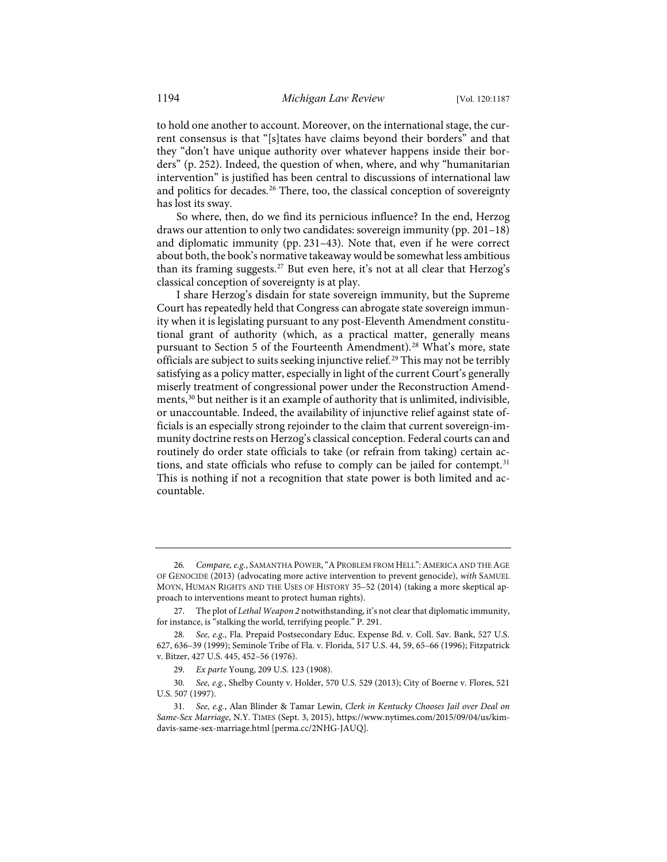to hold one another to account. Moreover, on the international stage, the current consensus is that "[s]tates have claims beyond their borders" and that they "don't have unique authority over whatever happens inside their borders" (p. 252). Indeed, the question of when, where, and why "humanitarian intervention" is justified has been central to discussions of international law and politics for decades.<sup>[26](#page-8-0)</sup> There, too, the classical conception of sovereignty has lost its sway.

So where, then, do we find its pernicious influence? In the end, Herzog draws our attention to only two candidates: sovereign immunity (pp. 201–18) and diplomatic immunity (pp. 231–43). Note that, even if he were correct about both, the book's normative takeaway would be somewhat less ambitious than its framing suggests.<sup>27</sup> But even here, it's not at all clear that Herzog's classical conception of sovereignty is at play.

I share Herzog's disdain for state sovereign immunity, but the Supreme Court has repeatedly held that Congress can abrogate state sovereign immunity when it is legislating pursuant to any post-Eleventh Amendment constitutional grant of authority (which, as a practical matter, generally means pursuant to Section 5 of the Fourteenth Amendment).<sup>[28](#page-8-2)</sup> What's more, state officials are subject to suits seeking injunctive relief.<sup>[29](#page-8-3)</sup> This may not be terribly satisfying as a policy matter, especially in light of the current Court's generally miserly treatment of congressional power under the Reconstruction Amendments,[30](#page-8-4) but neither is it an example of authority that is unlimited, indivisible, or unaccountable. Indeed, the availability of injunctive relief against state officials is an especially strong rejoinder to the claim that current sovereign-immunity doctrine rests on Herzog's classical conception. Federal courts can and routinely do order state officials to take (or refrain from taking) certain ac-tions, and state officials who refuse to comply can be jailed for contempt.<sup>[31](#page-8-5)</sup> This is nothing if not a recognition that state power is both limited and accountable.

<span id="page-8-0"></span><sup>26</sup>*. Compare, e.g.*, SAMANTHA POWER,"APROBLEM FROM HELL":AMERICA AND THE AGE OF GENOCIDE (2013) (advocating more active intervention to prevent genocide), *with* SAMUEL MOYN, HUMAN RIGHTS AND THE USES OF HISTORY 35–52 (2014) (taking a more skeptical approach to interventions meant to protect human rights).

<span id="page-8-1"></span><sup>27.</sup> The plot of *Lethal Weapon 2* notwithstanding, it's not clear that diplomatic immunity, for instance, is "stalking the world, terrifying people." P. 291.

<span id="page-8-2"></span><sup>28</sup>*. See, e.g.*, Fla. Prepaid Postsecondary Educ. Expense Bd. v. Coll. Sav. Bank, 527 U.S. 627, 636–39 (1999); Seminole Tribe of Fla. v. Florida, 517 U.S. 44, 59, 65–66 (1996); Fitzpatrick v. Bitzer, 427 U.S. 445, 452–56 (1976).

<sup>29</sup>*. Ex parte* Young, 209 U.S. 123 (1908).

<span id="page-8-4"></span><span id="page-8-3"></span><sup>30</sup>*. See, e.g.*, Shelby County v. Holder, 570 U.S. 529 (2013); City of Boerne v. Flores, 521 U.S. 507 (1997).

<span id="page-8-5"></span><sup>31</sup>*. See, e.g.*, Alan Blinder & Tamar Lewin, *Clerk in Kentucky Chooses Jail over Deal on Same-Sex Marriage*, N.Y. TIMES (Sept. 3, 2015), [https://www.nytimes.com/2015/09/04/us/kim](https://www.nytimes.com/2015/09/04/us/kim-davis-same-sex-marriage.html)[davis-same-sex-marriage.html](https://www.nytimes.com/2015/09/04/us/kim-davis-same-sex-marriage.html) [\[perma.cc/2NHG-JAUQ\]](https://perma.cc/2NHG-JAUQ).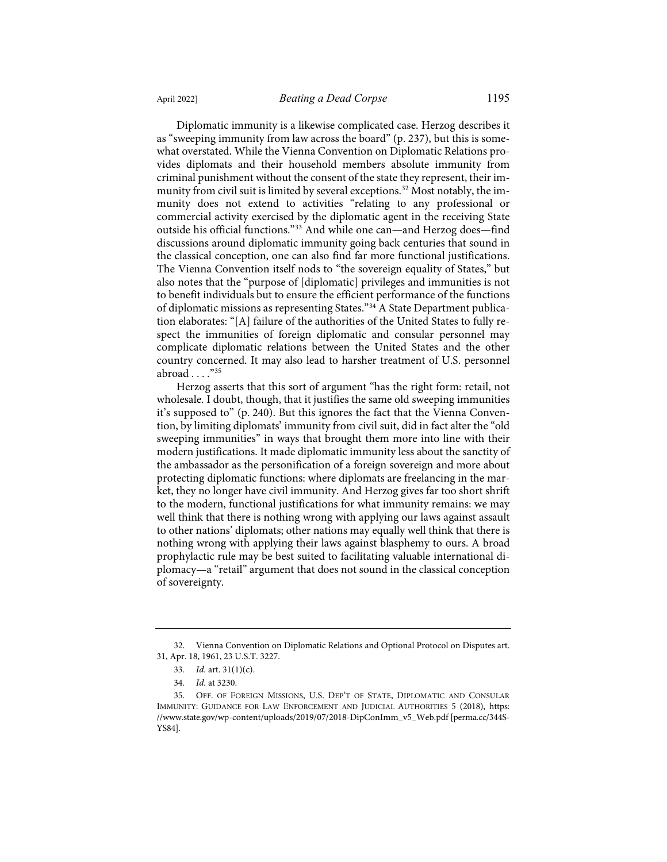Diplomatic immunity is a likewise complicated case. Herzog describes it as "sweeping immunity from law across the board" (p. 237), but this is somewhat overstated. While the Vienna Convention on Diplomatic Relations provides diplomats and their household members absolute immunity from criminal punishment without the consent of the state they represent, their im-munity from civil suit is limited by several exceptions.<sup>[32](#page-9-0)</sup> Most notably, the immunity does not extend to activities "relating to any professional or commercial activity exercised by the diplomatic agent in the receiving State outside his official functions."[33](#page-9-1) And while one can—and Herzog does—find discussions around diplomatic immunity going back centuries that sound in the classical conception, one can also find far more functional justifications. The Vienna Convention itself nods to "the sovereign equality of States," but also notes that the "purpose of [diplomatic] privileges and immunities is not to benefit individuals but to ensure the efficient performance of the functions of diplomatic missions as representing States."[34](#page-9-2) A State Department publication elaborates: "[A] failure of the authorities of the United States to fully respect the immunities of foreign diplomatic and consular personnel may complicate diplomatic relations between the United States and the other country concerned. It may also lead to harsher treatment of U.S. personnel abroad . . . ."[35](#page-9-3)

Herzog asserts that this sort of argument "has the right form: retail, not wholesale. I doubt, though, that it justifies the same old sweeping immunities it's supposed to" (p. 240). But this ignores the fact that the Vienna Convention, by limiting diplomats' immunity from civil suit, did in fact alter the "old sweeping immunities" in ways that brought them more into line with their modern justifications. It made diplomatic immunity less about the sanctity of the ambassador as the personification of a foreign sovereign and more about protecting diplomatic functions: where diplomats are freelancing in the market, they no longer have civil immunity. And Herzog gives far too short shrift to the modern, functional justifications for what immunity remains: we may well think that there is nothing wrong with applying our laws against assault to other nations' diplomats; other nations may equally well think that there is nothing wrong with applying their laws against blasphemy to ours. A broad prophylactic rule may be best suited to facilitating valuable international diplomacy—a "retail" argument that does not sound in the classical conception of sovereignty.

<span id="page-9-1"></span><span id="page-9-0"></span><sup>32.</sup> Vienna Convention on Diplomatic Relations and Optional Protocol on Disputes art. 31, Apr. 18, 1961, 23 U.S.T. 3227.

<sup>33</sup>*. Id.* art. 31(1)(c).

<sup>34</sup>*. Id.* at 3230.

<span id="page-9-3"></span><span id="page-9-2"></span><sup>35.</sup> OFF. OF FOREIGN MISSIONS, U.S. DEP'T OF STATE, DIPLOMATIC AND CONSULAR IMMUNITY: GUIDANCE FOR LAW ENFORCEMENT AND JUDICIAL AUTHORITIES 5 (2018), [https:](https://www.state.gov/wp-content/uploads/2019/07/2018-DipConImm_v5_Web.pdf) [//www.state.gov/wp-content/uploads/2019/07/2018-DipConImm\\_v5\\_Web.pdf](https://www.state.gov/wp-content/uploads/2019/07/2018-DipConImm_v5_Web.pdf) [\[perma.cc/344S-](https://perma.cc/344S-YS84)[YS84\]](https://perma.cc/344S-YS84).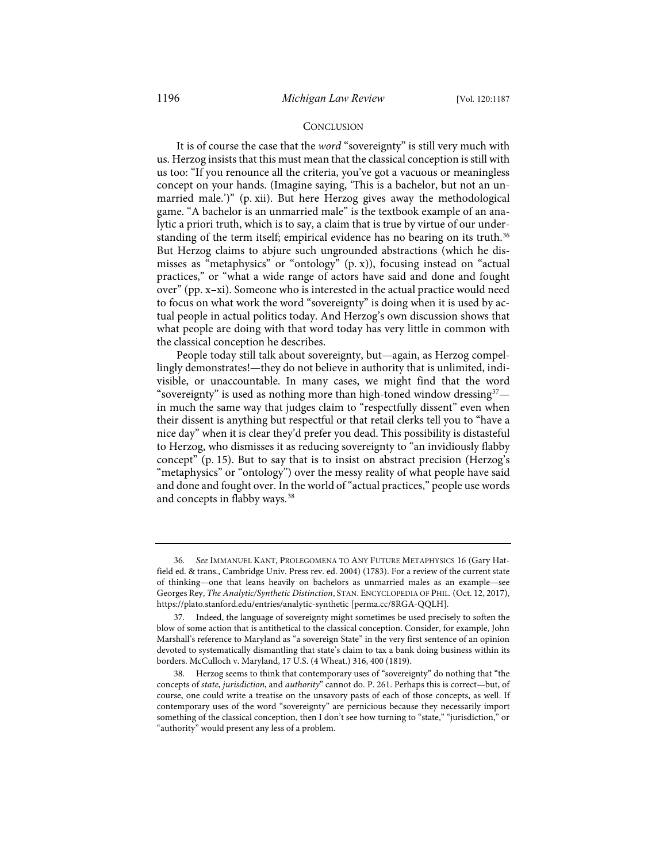#### **CONCLUSION**

It is of course the case that the *word* "sovereignty" is still very much with us. Herzog insists that this must mean that the classical conception is still with us too: "If you renounce all the criteria, you've got a vacuous or meaningless concept on your hands. (Imagine saying, 'This is a bachelor, but not an unmarried male.')" (p. xii). But here Herzog gives away the methodological game. "A bachelor is an unmarried male" is the textbook example of an analytic a priori truth, which is to say, a claim that is true by virtue of our under-standing of the term itself; empirical evidence has no bearing on its truth.<sup>[36](#page-10-0)</sup> But Herzog claims to abjure such ungrounded abstractions (which he dismisses as "metaphysics" or "ontology" (p. x)), focusing instead on "actual practices," or "what a wide range of actors have said and done and fought over" (pp. x–xi). Someone who is interested in the actual practice would need to focus on what work the word "sovereignty" is doing when it is used by actual people in actual politics today. And Herzog's own discussion shows that what people are doing with that word today has very little in common with the classical conception he describes.

People today still talk about sovereignty, but—again, as Herzog compellingly demonstrates!—they do not believe in authority that is unlimited, indivisible, or unaccountable. In many cases, we might find that the word "sovereignty" is used as nothing more than high-toned window dressing $37 37$ in much the same way that judges claim to "respectfully dissent" even when their dissent is anything but respectful or that retail clerks tell you to "have a nice day" when it is clear they'd prefer you dead. This possibility is distasteful to Herzog, who dismisses it as reducing sovereignty to "an invidiously flabby concept" (p. 15). But to say that is to insist on abstract precision (Herzog's "metaphysics" or "ontology") over the messy reality of what people have said and done and fought over. In the world of "actual practices," people use words and concepts in flabby ways.<sup>[38](#page-10-2)</sup>

<span id="page-10-0"></span><sup>36</sup>*. See* IMMANUEL KANT, PROLEGOMENA TO ANY FUTURE METAPHYSICS 16 (Gary Hatfield ed. & trans., Cambridge Univ. Press rev. ed. 2004) (1783). For a review of the current state of thinking—one that leans heavily on bachelors as unmarried males as an example—see Georges Rey, *The Analytic/Synthetic Distinction*, STAN. ENCYCLOPEDIA OF PHIL. (Oct. 12, 2017), [https://plato.stanford.edu/entries/analytic-synthetic](https://plato.stanford.edu/entries/analytic-synthetic/) [\[perma.cc/8RGA-QQLH\]](https://perma.cc/8RGA-QQLH).

<span id="page-10-1"></span><sup>37.</sup> Indeed, the language of sovereignty might sometimes be used precisely to soften the blow of some action that is antithetical to the classical conception. Consider, for example, John Marshall's reference to Maryland as "a sovereign State" in the very first sentence of an opinion devoted to systematically dismantling that state's claim to tax a bank doing business within its borders. McCulloch v. Maryland, 17 U.S. (4 Wheat.) 316, 400 (1819).

<span id="page-10-2"></span><sup>38.</sup> Herzog seems to think that contemporary uses of "sovereignty" do nothing that "the concepts of *state*, *jurisdiction*, and *authority*" cannot do. P. 261. Perhaps this is correct—but, of course, one could write a treatise on the unsavory pasts of each of those concepts, as well. If contemporary uses of the word "sovereignty" are pernicious because they necessarily import something of the classical conception, then I don't see how turning to "state," "jurisdiction," or "authority" would present any less of a problem.